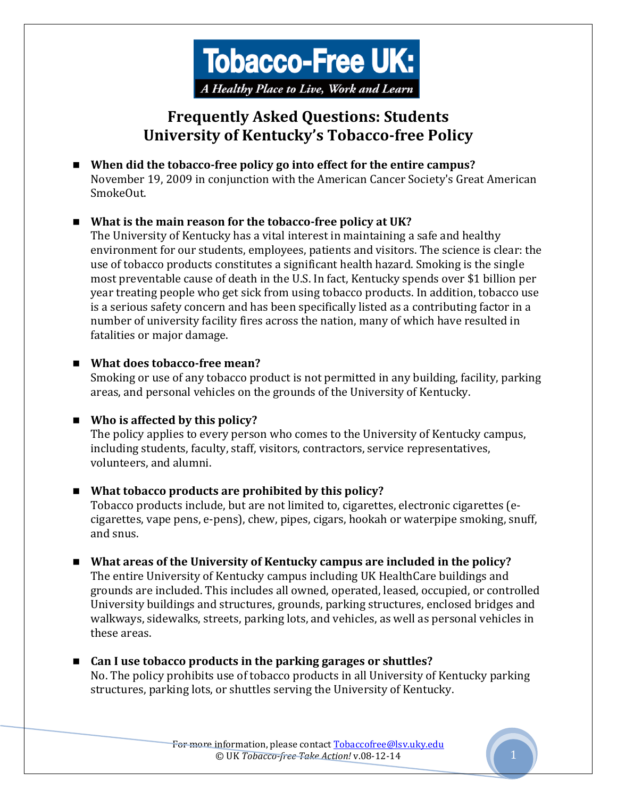

# **Frequently Asked Questions: Students University of Kentucky's Tobacco-free Policy**

 **When did the tobacco-free policy go into effect for the entire campus?**  November 19, 2009 in conjunction with the American Cancer Society's Great American SmokeOut.

#### **What is the main reason for the tobacco-free policy at UK?**

The University of Kentucky has a vital interest in maintaining a safe and healthy environment for our students, employees, patients and visitors. The science is clear: the use of tobacco products constitutes a significant health hazard. Smoking is the single most preventable cause of death in the U.S. In fact, Kentucky spends over \$1 billion per year treating people who get sick from using tobacco products. In addition, tobacco use is a serious safety concern and has been specifically listed as a contributing factor in a number of university facility fires across the nation, many of which have resulted in fatalities or major damage.

#### **What does tobacco-free mean?**

Smoking or use of any tobacco product is not permitted in any building, facility, parking areas, and personal vehicles on the grounds of the University of Kentucky.

#### **Who is affected by this policy?**

The policy applies to every person who comes to the University of Kentucky campus, including students, faculty, staff, visitors, contractors, service representatives, volunteers, and alumni.

#### **What tobacco products are prohibited by this policy?**

Tobacco products include, but are not limited to, cigarettes, electronic cigarettes (ecigarettes, vape pens, e-pens), chew, pipes, cigars, hookah or waterpipe smoking, snuff, and snus.

- **What areas of the University of Kentucky campus are included in the policy?**  The entire University of Kentucky campus including UK HealthCare buildings and grounds are included. This includes all owned, operated, leased, occupied, or controlled University buildings and structures, grounds, parking structures, enclosed bridges and walkways, sidewalks, streets, parking lots, and vehicles, as well as personal vehicles in these areas.
- Can I use tobacco products in the parking garages or shuttles? No. The policy prohibits use of tobacco products in all University of Kentucky parking structures, parking lots, or shuttles serving the University of Kentucky.

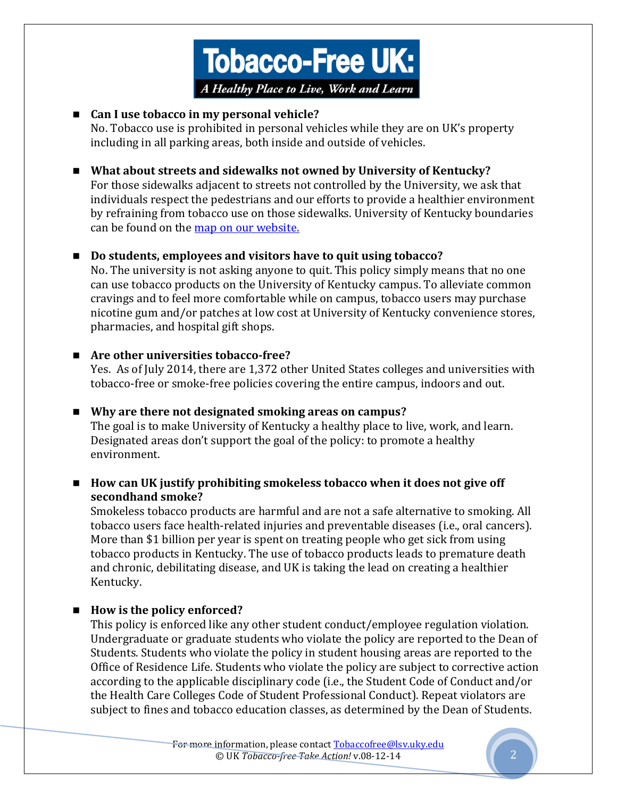

#### ■ Can I use tobacco in my personal vehicle?

No. Tobacco use is prohibited in personal vehicles while they are on UK's property including in all parking areas, both inside and outside of vehicles.

## **What about streets and sidewalks not owned by University of Kentucky?**

For those sidewalks adjacent to streets not controlled by the University, we ask that individuals respect the pedestrians and our efforts to provide a healthier environment by refraining from tobacco use on those sidewalks. University of Kentucky boundaries can be found on the [map on our website.](http://www.uky.edu/TobaccoFree/files/map.pdf)

## ■ **Do students, employees and visitors have to quit using tobacco?**

No. The university is not asking anyone to quit. This policy simply means that no one can use tobacco products on the University of Kentucky campus. To alleviate common cravings and to feel more comfortable while on campus, tobacco users may purchase nicotine gum and/or patches at low cost at University of Kentucky convenience stores, pharmacies, and hospital gift shops.

## **Are other universities tobacco-free?**

Yes. As of July 2014, there are 1,372 other United States colleges and universities with tobacco-free or smoke-free policies covering the entire campus, indoors and out.

# **Why are there not designated smoking areas on campus?**

The goal is to make University of Kentucky a healthy place to live, work, and learn. Designated areas don't support the goal of the policy: to promote a healthy environment.

## ■ How can UK justify prohibiting smokeless tobacco when it does not give off **secondhand smoke?**

Smokeless tobacco products are harmful and are not a safe alternative to smoking. All tobacco users face health-related injuries and preventable diseases (i.e., oral cancers). More than \$1 billion per year is spent on treating people who get sick from using tobacco products in Kentucky. The use of tobacco products leads to premature death and chronic, debilitating disease, and UK is taking the lead on creating a healthier Kentucky.

## ■ How is the policy enforced?

This policy is enforced like any other student conduct/employee regulation violation. Undergraduate or graduate students who violate the policy are reported to the Dean of Students. Students who violate the policy in student housing areas are reported to the Office of Residence Life. Students who violate the policy are subject to corrective action according to the applicable disciplinary code (i.e., the Student Code of Conduct and/or the Health Care Colleges Code of Student Professional Conduct). Repeat violators are subject to fines and tobacco education classes, as determined by the Dean of Students.